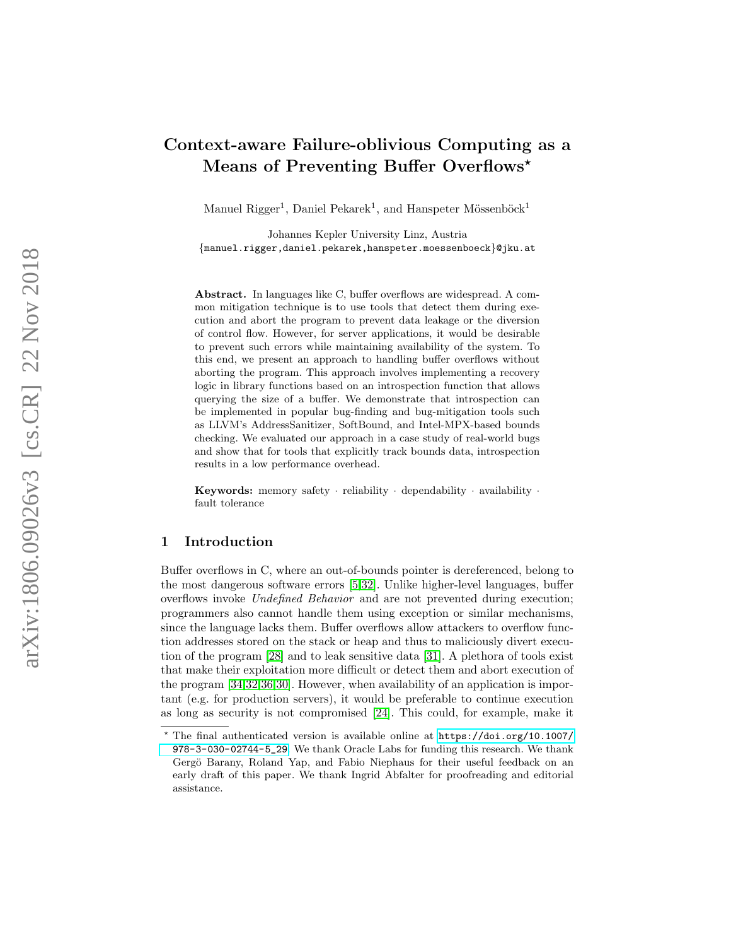# Context-aware Failure-oblivious Computing as a Means of Preventing Buffer Overflows\*

Manuel Rigger<sup>1</sup>, Daniel Pekarek<sup>1</sup>, and Hanspeter Mössenböck<sup>1</sup>

Johannes Kepler University Linz, Austria {manuel.rigger,daniel.pekarek,hanspeter.moessenboeck }@jku.at

Abstract. In languages like C, buffer overflows are widespread. A common mitigation technique is to use tools that detect them during execution and abort the program to prevent data leakage or the diversion of control flow. However, for server applications, it would be desirable to prevent such errors while maintaining availability of the system. To this end, we present an approach to handling buffer overflows without aborting the program. This approach involves implementing a recovery logic in library functions based on an introspection function that allows querying the size of a buffer. We demonstrate that introspection can be implemented in popular bug-finding and bug-mitigation tools such as LLVM's AddressSanitizer, SoftBound, and Intel-MPX-based bounds checking. We evaluated our approach in a case study of real-world bugs and show that for tools that explicitly track bounds data, introspection results in a low performance overhead.

Keywords: memory safety · reliability · dependability · availability · fault tolerance

#### 1 Introduction

Buffer overflows in C, where an out-of-bounds pointer is dereferenced, belong to the most dangerous software errors [\[5,](#page-12-0)[32\]](#page-14-0). Unlike higher-level languages, buffer overflows invoke Undefined Behavior and are not prevented during execution; programmers also cannot handle them using exception or similar mechanisms, since the language lacks them. Buffer overflows allow attackers to overflow function addresses stored on the stack or heap and thus to maliciously divert execution of the program [\[28\]](#page-14-1) and to leak sensitive data [\[31\]](#page-14-2). A plethora of tools exist that make their exploitation more difficult or detect them and abort execution of the program [\[34](#page-14-3)[,32,](#page-14-0)[36](#page-14-4)[,30\]](#page-14-5). However, when availability of an application is important (e.g. for production servers), it would be preferable to continue execution as long as security is not compromised [\[24\]](#page-14-6). This could, for example, make it

<sup>?</sup> The final authenticated version is available online at [https://doi.org/10.1007/](https://doi.org/10.1007/978-3-030-02744-5_29) [978-3-030-02744-5\\_29](https://doi.org/10.1007/978-3-030-02744-5_29). We thank Oracle Labs for funding this research. We thank Gergö Barany, Roland Yap, and Fabio Niephaus for their useful feedback on an early draft of this paper. We thank Ingrid Abfalter for proofreading and editorial assistance.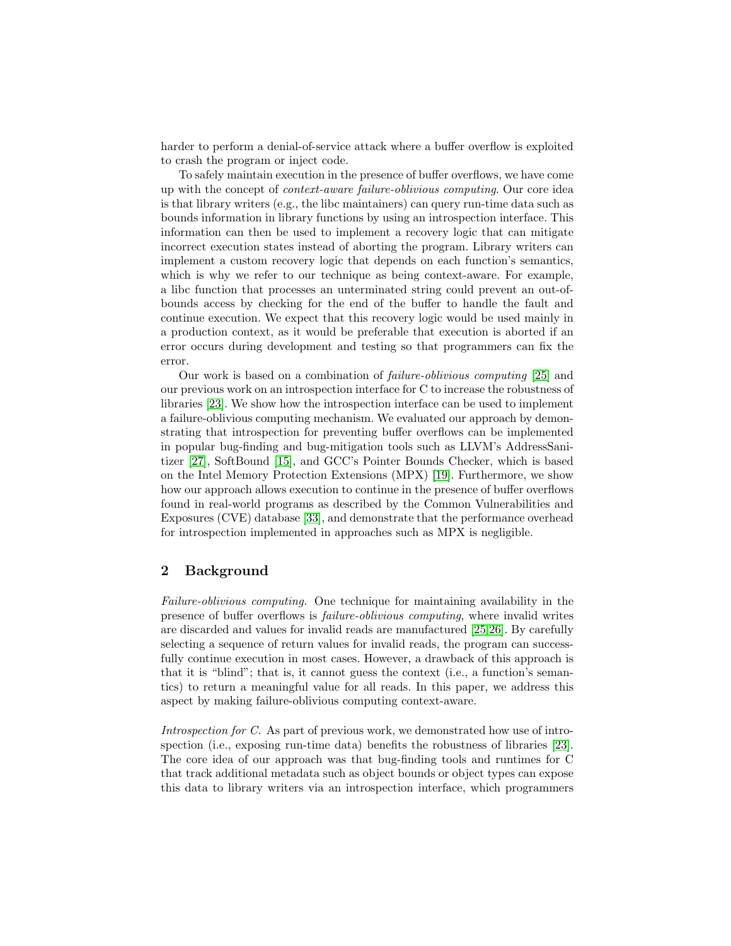harder to perform a denial-of-service attack where a buffer overflow is exploited to crash the program or inject code.

To safely maintain execution in the presence of buffer overflows, we have come up with the concept of context-aware failure-oblivious computing. Our core idea is that library writers (e.g., the libc maintainers) can query run-time data such as bounds information in library functions by using an introspection interface. This information can then be used to implement a recovery logic that can mitigate incorrect execution states instead of aborting the program. Library writers can implement a custom recovery logic that depends on each function's semantics, which is why we refer to our technique as being context-aware. For example, a libc function that processes an unterminated string could prevent an out-ofbounds access by checking for the end of the buffer to handle the fault and continue execution. We expect that this recovery logic would be used mainly in a production context, as it would be preferable that execution is aborted if an error occurs during development and testing so that programmers can fix the error.

Our work is based on a combination of failure-oblivious computing [\[25\]](#page-14-7) and our previous work on an introspection interface for C to increase the robustness of libraries [\[23\]](#page-13-0). We show how the introspection interface can be used to implement a failure-oblivious computing mechanism. We evaluated our approach by demonstrating that introspection for preventing buffer overflows can be implemented in popular bug-finding and bug-mitigation tools such as LLVM's AddressSanitizer [\[27\]](#page-14-8), SoftBound [\[15\]](#page-13-1), and GCC's Pointer Bounds Checker, which is based on the Intel Memory Protection Extensions (MPX) [\[19\]](#page-13-2). Furthermore, we show how our approach allows execution to continue in the presence of buffer overflows found in real-world programs as described by the Common Vulnerabilities and Exposures (CVE) database [\[33\]](#page-14-9), and demonstrate that the performance overhead for introspection implemented in approaches such as MPX is negligible.

# 2 Background

Failure-oblivious computing. One technique for maintaining availability in the presence of buffer overflows is failure-oblivious computing, where invalid writes are discarded and values for invalid reads are manufactured [\[25,](#page-14-7)[26\]](#page-14-10). By carefully selecting a sequence of return values for invalid reads, the program can successfully continue execution in most cases. However, a drawback of this approach is that it is "blind"; that is, it cannot guess the context (i.e., a function's semantics) to return a meaningful value for all reads. In this paper, we address this aspect by making failure-oblivious computing context-aware.

Introspection for C. As part of previous work, we demonstrated how use of introspection (i.e., exposing run-time data) benefits the robustness of libraries [\[23\]](#page-13-0). The core idea of our approach was that bug-finding tools and runtimes for C that track additional metadata such as object bounds or object types can expose this data to library writers via an introspection interface, which programmers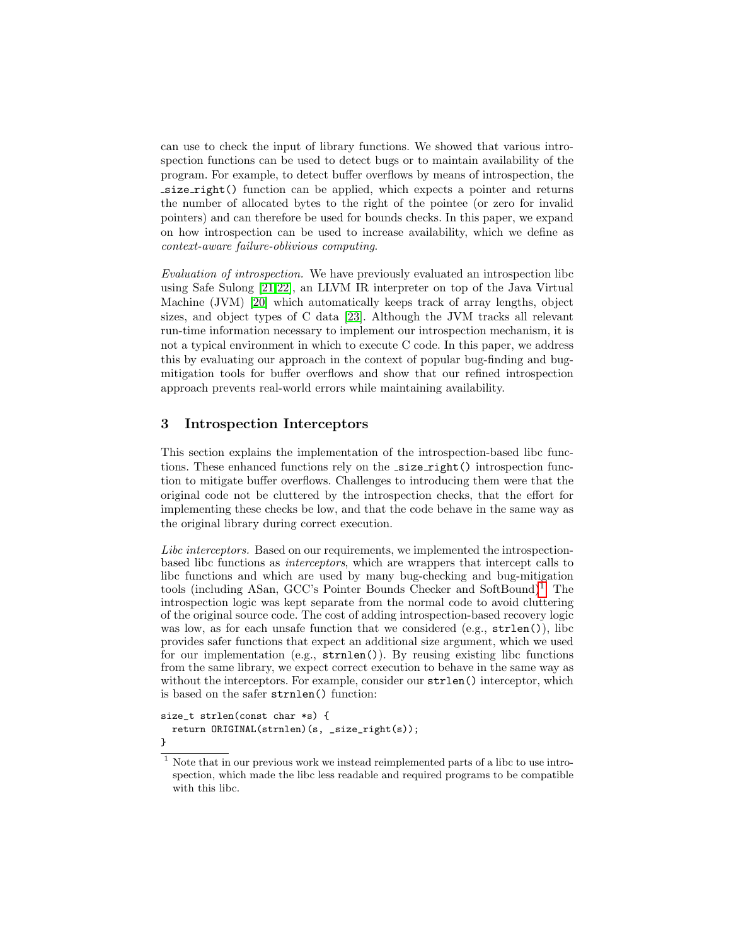can use to check the input of library functions. We showed that various introspection functions can be used to detect bugs or to maintain availability of the program. For example, to detect buffer overflows by means of introspection, the size right() function can be applied, which expects a pointer and returns the number of allocated bytes to the right of the pointee (or zero for invalid pointers) and can therefore be used for bounds checks. In this paper, we expand on how introspection can be used to increase availability, which we define as context-aware failure-oblivious computing.

Evaluation of introspection. We have previously evaluated an introspection libc using Safe Sulong [\[21](#page-13-3)[,22\]](#page-13-4), an LLVM IR interpreter on top of the Java Virtual Machine (JVM) [\[20\]](#page-13-5) which automatically keeps track of array lengths, object sizes, and object types of C data [\[23\]](#page-13-0). Although the JVM tracks all relevant run-time information necessary to implement our introspection mechanism, it is not a typical environment in which to execute C code. In this paper, we address this by evaluating our approach in the context of popular bug-finding and bugmitigation tools for buffer overflows and show that our refined introspection approach prevents real-world errors while maintaining availability.

## 3 Introspection Interceptors

This section explains the implementation of the introspection-based libc functions. These enhanced functions rely on the size right() introspection function to mitigate buffer overflows. Challenges to introducing them were that the original code not be cluttered by the introspection checks, that the effort for implementing these checks be low, and that the code behave in the same way as the original library during correct execution.

Libc interceptors. Based on our requirements, we implemented the introspectionbased libc functions as interceptors, which are wrappers that intercept calls to libc functions and which are used by many bug-checking and bug-mitigation tools (including ASan, GCC's Pointer Bounds Checker and SoftBound)<sup>[1](#page-2-0)</sup>. The introspection logic was kept separate from the normal code to avoid cluttering of the original source code. The cost of adding introspection-based recovery logic was low, as for each unsafe function that we considered (e.g.,  $\text{strlen}()$ ), libc provides safer functions that expect an additional size argument, which we used for our implementation (e.g.,  $\text{strnlen}()$ ). By reusing existing libc functions from the same library, we expect correct execution to behave in the same way as without the interceptors. For example, consider our  $\text{strlen}()$  interceptor, which is based on the safer strnlen() function:

```
size_t strlen(const char *s) {
 return ORIGINAL(strnlen)(s, _size_right(s));
}
```
<span id="page-2-0"></span>Note that in our previous work we instead reimplemented parts of a libc to use introspection, which made the libc less readable and required programs to be compatible with this libc.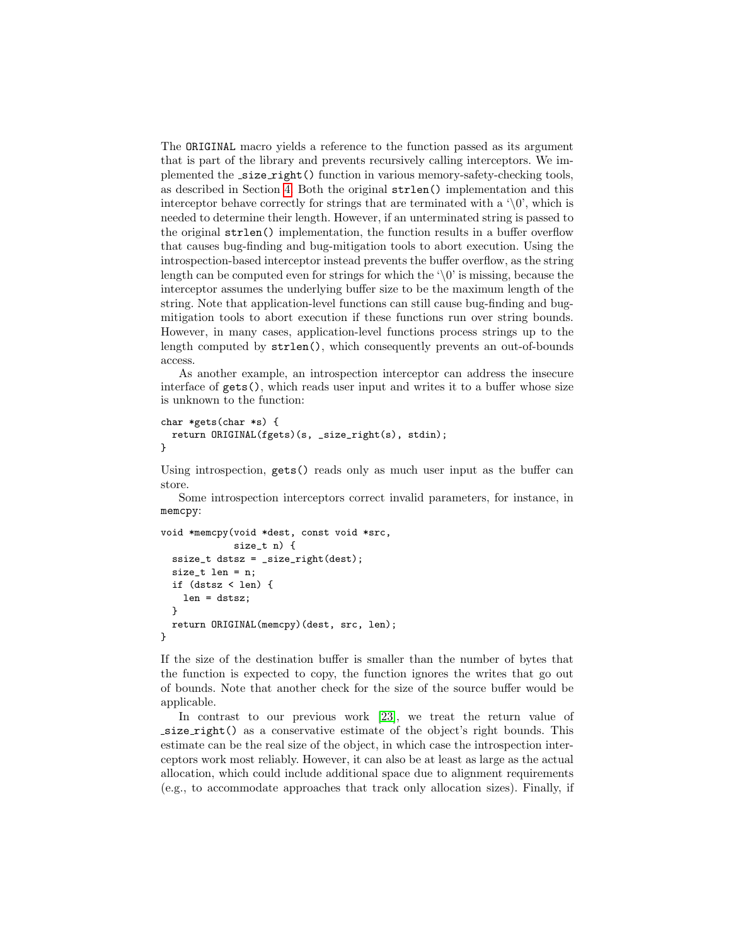The ORIGINAL macro yields a reference to the function passed as its argument that is part of the library and prevents recursively calling interceptors. We implemented the size right() function in various memory-safety-checking tools, as described in Section [4.](#page-4-0) Both the original strlen() implementation and this interceptor behave correctly for strings that are terminated with a  $\Diamond$ 0', which is needed to determine their length. However, if an unterminated string is passed to the original strlen() implementation, the function results in a buffer overflow that causes bug-finding and bug-mitigation tools to abort execution. Using the introspection-based interceptor instead prevents the buffer overflow, as the string length can be computed even for strings for which the  $\Diamond$  is missing, because the interceptor assumes the underlying buffer size to be the maximum length of the string. Note that application-level functions can still cause bug-finding and bugmitigation tools to abort execution if these functions run over string bounds. However, in many cases, application-level functions process strings up to the length computed by strlen(), which consequently prevents an out-of-bounds access.

As another example, an introspection interceptor can address the insecure interface of gets(), which reads user input and writes it to a buffer whose size is unknown to the function:

```
char *gets(char *s) {
 return ORIGINAL(fgets)(s, _size_right(s), stdin);
}
```
Using introspection, gets () reads only as much user input as the buffer can store.

Some introspection interceptors correct invalid parameters, for instance, in memcpy:

```
void *memcpy(void *dest, const void *src,
             size_t n) {
 ssize_t dstsz = _size_right(dest);
 size_t len = n;
 if (dstsz < len) {
    len = dstsz;
 }
 return ORIGINAL(memcpy)(dest, src, len);
}
```
If the size of the destination buffer is smaller than the number of bytes that the function is expected to copy, the function ignores the writes that go out of bounds. Note that another check for the size of the source buffer would be applicable.

In contrast to our previous work [\[23\]](#page-13-0), we treat the return value of size right() as a conservative estimate of the object's right bounds. This estimate can be the real size of the object, in which case the introspection interceptors work most reliably. However, it can also be at least as large as the actual allocation, which could include additional space due to alignment requirements (e.g., to accommodate approaches that track only allocation sizes). Finally, if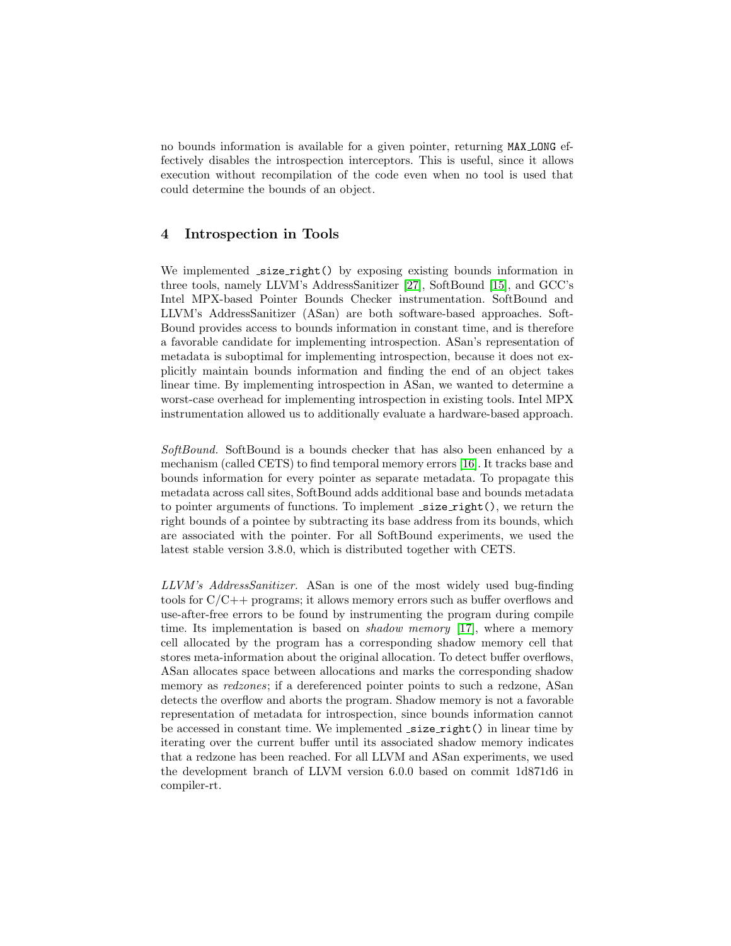no bounds information is available for a given pointer, returning MAX LONG effectively disables the introspection interceptors. This is useful, since it allows execution without recompilation of the code even when no tool is used that could determine the bounds of an object.

# <span id="page-4-0"></span>4 Introspection in Tools

We implemented size right() by exposing existing bounds information in three tools, namely LLVM's AddressSanitizer [\[27\]](#page-14-8), SoftBound [\[15\]](#page-13-1), and GCC's Intel MPX-based Pointer Bounds Checker instrumentation. SoftBound and LLVM's AddressSanitizer (ASan) are both software-based approaches. Soft-Bound provides access to bounds information in constant time, and is therefore a favorable candidate for implementing introspection. ASan's representation of metadata is suboptimal for implementing introspection, because it does not explicitly maintain bounds information and finding the end of an object takes linear time. By implementing introspection in ASan, we wanted to determine a worst-case overhead for implementing introspection in existing tools. Intel MPX instrumentation allowed us to additionally evaluate a hardware-based approach.

SoftBound. SoftBound is a bounds checker that has also been enhanced by a mechanism (called CETS) to find temporal memory errors [\[16\]](#page-13-6). It tracks base and bounds information for every pointer as separate metadata. To propagate this metadata across call sites, SoftBound adds additional base and bounds metadata to pointer arguments of functions. To implement  ${\sf size\_right}()$ , we return the right bounds of a pointee by subtracting its base address from its bounds, which are associated with the pointer. For all SoftBound experiments, we used the latest stable version 3.8.0, which is distributed together with CETS.

LLVM's AddressSanitizer. ASan is one of the most widely used bug-finding tools for  $C/C++$  programs; it allows memory errors such as buffer overflows and use-after-free errors to be found by instrumenting the program during compile time. Its implementation is based on *shadow memory* [\[17\]](#page-13-7), where a memory cell allocated by the program has a corresponding shadow memory cell that stores meta-information about the original allocation. To detect buffer overflows, ASan allocates space between allocations and marks the corresponding shadow memory as *redzones*; if a dereferenced pointer points to such a redzone, ASan detects the overflow and aborts the program. Shadow memory is not a favorable representation of metadata for introspection, since bounds information cannot be accessed in constant time. We implemented size right() in linear time by iterating over the current buffer until its associated shadow memory indicates that a redzone has been reached. For all LLVM and ASan experiments, we used the development branch of LLVM version 6.0.0 based on commit 1d871d6 in compiler-rt.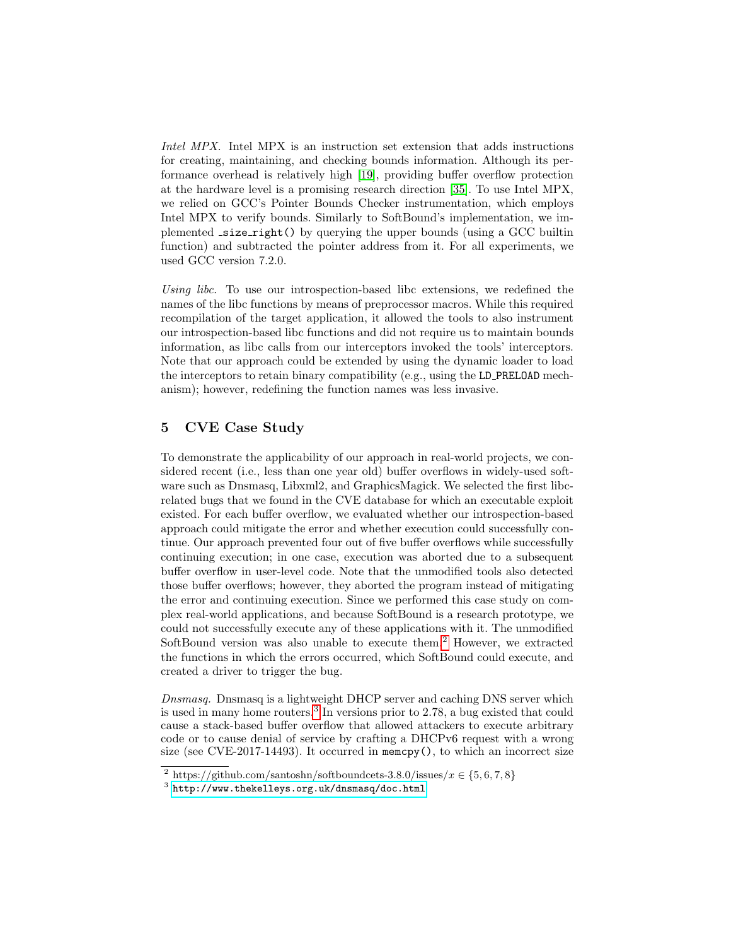Intel MPX. Intel MPX is an instruction set extension that adds instructions for creating, maintaining, and checking bounds information. Although its performance overhead is relatively high [\[19\]](#page-13-2), providing buffer overflow protection at the hardware level is a promising research direction [\[35\]](#page-14-11). To use Intel MPX, we relied on GCC's Pointer Bounds Checker instrumentation, which employs Intel MPX to verify bounds. Similarly to SoftBound's implementation, we implemented  $\text{size\_right}()$  by querying the upper bounds (using a GCC builtin function) and subtracted the pointer address from it. For all experiments, we used GCC version 7.2.0.

Using libc. To use our introspection-based libc extensions, we redefined the names of the libc functions by means of preprocessor macros. While this required recompilation of the target application, it allowed the tools to also instrument our introspection-based libc functions and did not require us to maintain bounds information, as libc calls from our interceptors invoked the tools' interceptors. Note that our approach could be extended by using the dynamic loader to load the interceptors to retain binary compatibility (e.g., using the LD PRELOAD mechanism); however, redefining the function names was less invasive.

# 5 CVE Case Study

To demonstrate the applicability of our approach in real-world projects, we considered recent (i.e., less than one year old) buffer overflows in widely-used software such as Dnsmasq, Libxml2, and GraphicsMagick. We selected the first libcrelated bugs that we found in the CVE database for which an executable exploit existed. For each buffer overflow, we evaluated whether our introspection-based approach could mitigate the error and whether execution could successfully continue. Our approach prevented four out of five buffer overflows while successfully continuing execution; in one case, execution was aborted due to a subsequent buffer overflow in user-level code. Note that the unmodified tools also detected those buffer overflows; however, they aborted the program instead of mitigating the error and continuing execution. Since we performed this case study on complex real-world applications, and because SoftBound is a research prototype, we could not successfully execute any of these applications with it. The unmodified SoftBound version was also unable to execute them.[2](#page-5-0) However, we extracted the functions in which the errors occurred, which SoftBound could execute, and created a driver to trigger the bug.

Dnsmasq. Dnsmasq is a lightweight DHCP server and caching DNS server which is used in many home routers.[3](#page-5-1) In versions prior to 2.78, a bug existed that could cause a stack-based buffer overflow that allowed attackers to execute arbitrary code or to cause denial of service by crafting a DHCPv6 request with a wrong size (see CVE-2017-14493). It occurred in memcpy(), to which an incorrect size

<span id="page-5-0"></span><sup>&</sup>lt;sup>2</sup> https://github.com/santoshn/softboundcets-3.8.0/issues/ $x \in \{5, 6, 7, 8\}$ 

<span id="page-5-1"></span> $^3$  <http://www.thekelleys.org.uk/dnsmasq/doc.html>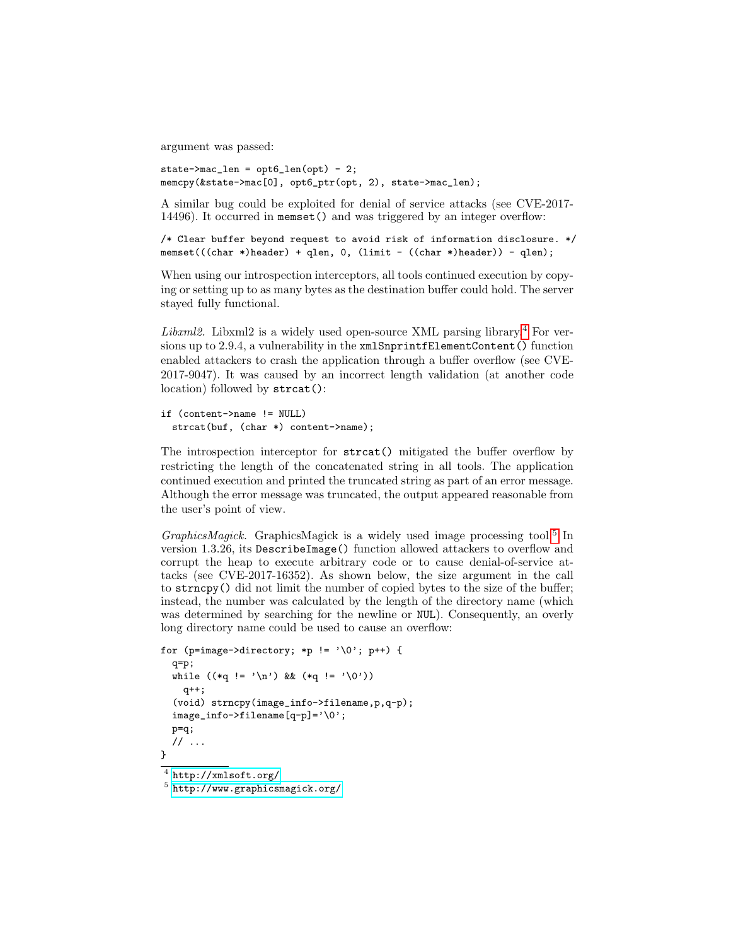argument was passed:

```
state-\numac_len = opt6_len(opt) - 2;
memcpy(&state->mac[0], opt6_ptr(opt, 2), state->mac_len);
```
A similar bug could be exploited for denial of service attacks (see CVE-2017- 14496). It occurred in memset() and was triggered by an integer overflow:

```
/* Clear buffer beyond request to avoid risk of information disclosure. */
memset(((char *)header) + qlen, 0, (limit - ((char *)header)) - qlen);
```
When using our introspection interceptors, all tools continued execution by copying or setting up to as many bytes as the destination buffer could hold. The server stayed fully functional.

*Libxml2*. Libxml2 is a widely used open-source XML parsing library.<sup>[4](#page-6-0)</sup> For versions up to 2.9.4, a vulnerability in the xmlSnprintfElementContent() function enabled attackers to crash the application through a buffer overflow (see CVE-2017-9047). It was caused by an incorrect length validation (at another code location) followed by strcat():

```
if (content->name != NULL)
 strcat(buf, (char *) content->name);
```
The introspection interceptor for strcat() mitigated the buffer overflow by restricting the length of the concatenated string in all tools. The application continued execution and printed the truncated string as part of an error message. Although the error message was truncated, the output appeared reasonable from the user's point of view.

GraphicsMagick. GraphicsMagick is a widely used image processing tool.<sup>[5](#page-6-1)</sup> In version 1.3.26, its DescribeImage() function allowed attackers to overflow and corrupt the heap to execute arbitrary code or to cause denial-of-service attacks (see CVE-2017-16352). As shown below, the size argument in the call to strncpy() did not limit the number of copied bytes to the size of the buffer; instead, the number was calculated by the length of the directory name (which was determined by searching for the newline or NUL). Consequently, an overly long directory name could be used to cause an overflow:

```
for (p=image->directory; *p != \sqrt{0}; p++) {
  q=p;
  while ((\ast q \ \mathrel{{\mathsf{!}}} \circ \ \wedge_n) \ \&\&\ (\ast q \ \mathrel{{\mathsf{!}}} \circ \ \wedge_0'))q++;
   (void) strncpy(image_info->filename,p,q-p);
   image_info->filename[q-p]='\0';
  p=q;
  // ...
}
```
<span id="page-6-0"></span> $^4$  <http://xmlsoft.org/>

<span id="page-6-1"></span><sup>5</sup> <http://www.graphicsmagick.org/>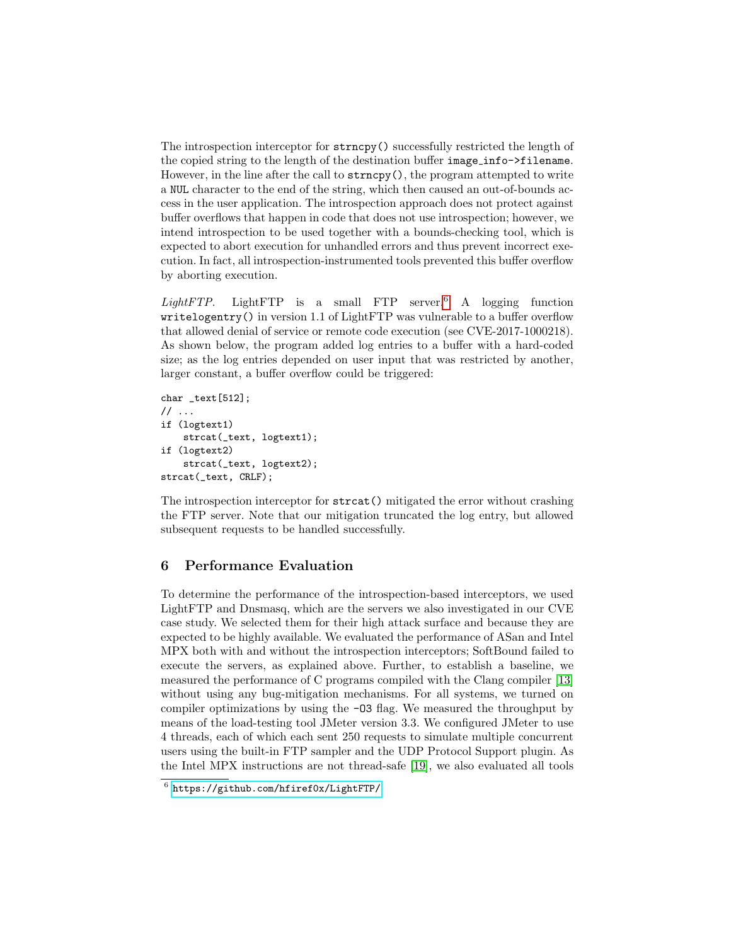The introspection interceptor for strncpy() successfully restricted the length of the copied string to the length of the destination buffer image\_info->filename. However, in the line after the call to strncpy(), the program attempted to write a NUL character to the end of the string, which then caused an out-of-bounds access in the user application. The introspection approach does not protect against buffer overflows that happen in code that does not use introspection; however, we intend introspection to be used together with a bounds-checking tool, which is expected to abort execution for unhandled errors and thus prevent incorrect execution. In fact, all introspection-instrumented tools prevented this buffer overflow by aborting execution.

 $LightFTP$ . LightFTP is a small FTP server.<sup>[6](#page-7-0)</sup> A logging function writelogentry() in version 1.1 of LightFTP was vulnerable to a buffer overflow that allowed denial of service or remote code execution (see CVE-2017-1000218). As shown below, the program added log entries to a buffer with a hard-coded size; as the log entries depended on user input that was restricted by another, larger constant, a buffer overflow could be triggered:

```
char _text[512];
// ...
if (logtext1)
    strcat(_text, logtext1);
if (logtext2)
    strcat(_text, logtext2);
strcat(_text, CRLF);
```
The introspection interceptor for strcat() mitigated the error without crashing the FTP server. Note that our mitigation truncated the log entry, but allowed subsequent requests to be handled successfully.

# 6 Performance Evaluation

To determine the performance of the introspection-based interceptors, we used LightFTP and Dnsmasq, which are the servers we also investigated in our CVE case study. We selected them for their high attack surface and because they are expected to be highly available. We evaluated the performance of ASan and Intel MPX both with and without the introspection interceptors; SoftBound failed to execute the servers, as explained above. Further, to establish a baseline, we measured the performance of C programs compiled with the Clang compiler [\[13\]](#page-13-8) without using any bug-mitigation mechanisms. For all systems, we turned on compiler optimizations by using the -O3 flag. We measured the throughput by means of the load-testing tool JMeter version 3.3. We configured JMeter to use 4 threads, each of which each sent 250 requests to simulate multiple concurrent users using the built-in FTP sampler and the UDP Protocol Support plugin. As the Intel MPX instructions are not thread-safe [\[19\]](#page-13-2), we also evaluated all tools

<span id="page-7-0"></span> $^6$  <https://github.com/hfiref0x/LightFTP/>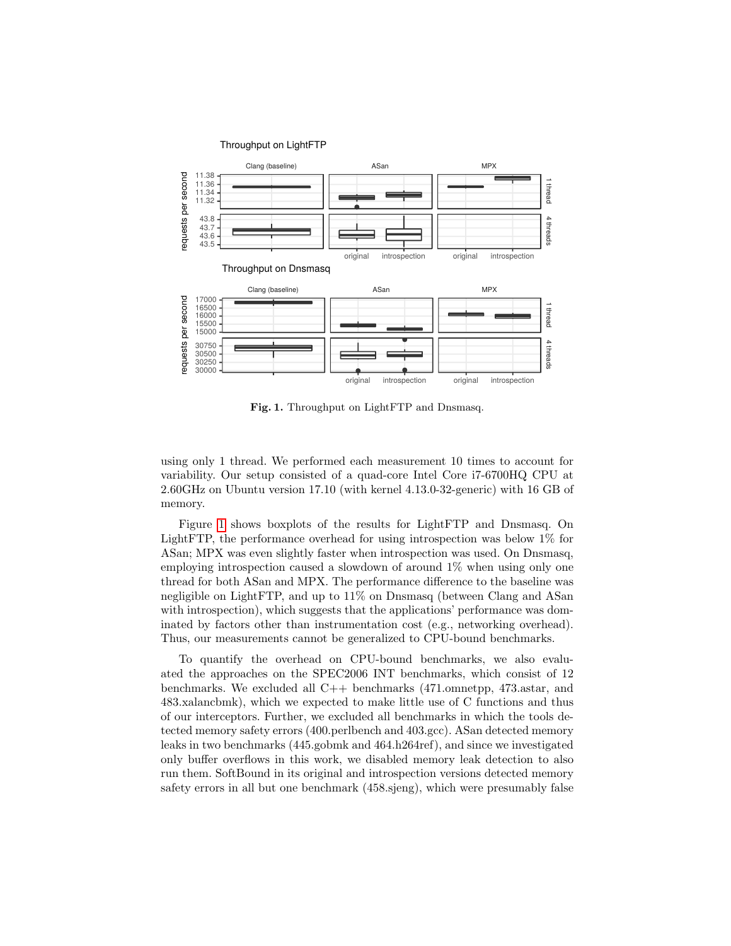

<span id="page-8-0"></span>Fig. 1. Throughput on LightFTP and Dnsmasq.

using only 1 thread. We performed each measurement 10 times to account for variability. Our setup consisted of a quad-core Intel Core i7-6700HQ CPU at 2.60GHz on Ubuntu version 17.10 (with kernel 4.13.0-32-generic) with 16 GB of memory.

Figure [1](#page-8-0) shows boxplots of the results for LightFTP and Dnsmasq. On LightFTP, the performance overhead for using introspection was below 1% for ASan; MPX was even slightly faster when introspection was used. On Dnsmasq, employing introspection caused a slowdown of around  $1\%$  when using only one thread for both ASan and MPX. The performance difference to the baseline was negligible on LightFTP, and up to 11% on Dnsmasq (between Clang and ASan with introspection), which suggests that the applications' performance was dominated by factors other than instrumentation cost (e.g., networking overhead). Thus, our measurements cannot be generalized to CPU-bound benchmarks.

To quantify the overhead on CPU-bound benchmarks, we also evaluated the approaches on the SPEC2006 INT benchmarks, which consist of 12 benchmarks. We excluded all C++ benchmarks (471.omnetpp, 473.astar, and 483.xalancbmk), which we expected to make little use of C functions and thus of our interceptors. Further, we excluded all benchmarks in which the tools detected memory safety errors (400.perlbench and 403.gcc). ASan detected memory leaks in two benchmarks (445.gobmk and 464.h264ref), and since we investigated only buffer overflows in this work, we disabled memory leak detection to also run them. SoftBound in its original and introspection versions detected memory safety errors in all but one benchmark (458.sjeng), which were presumably false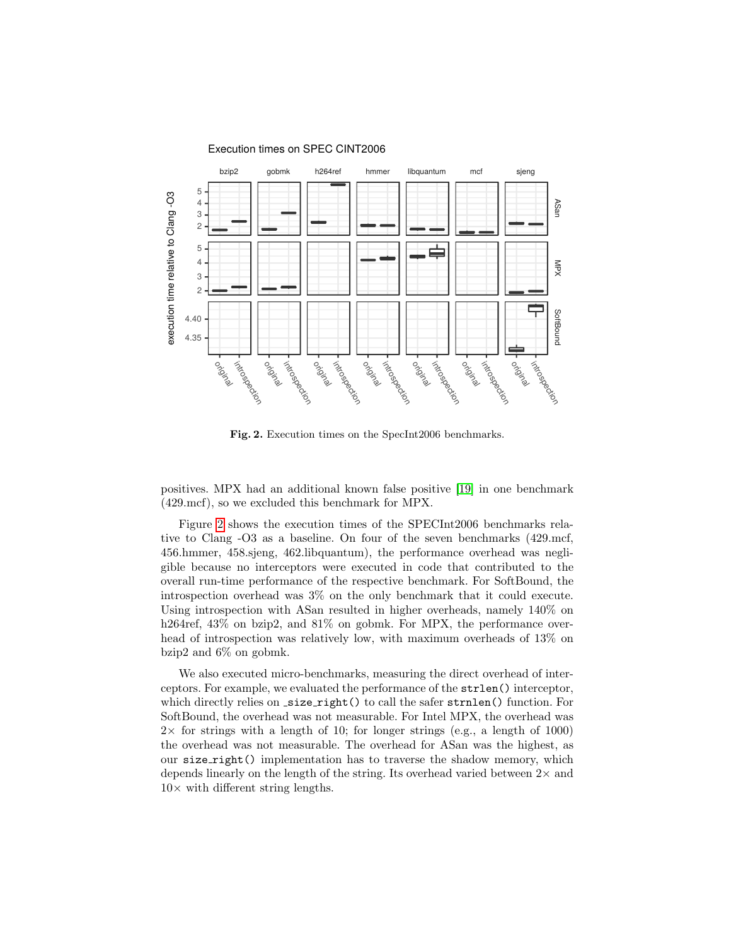#### Execution times on SPEC CINT2006



<span id="page-9-0"></span>Fig. 2. Execution times on the SpecInt2006 benchmarks.

positives. MPX had an additional known false positive [\[19\]](#page-13-2) in one benchmark (429.mcf), so we excluded this benchmark for MPX.

Figure [2](#page-9-0) shows the execution times of the SPECInt2006 benchmarks relative to Clang -O3 as a baseline. On four of the seven benchmarks (429.mcf, 456.hmmer, 458.sjeng, 462.libquantum), the performance overhead was negligible because no interceptors were executed in code that contributed to the overall run-time performance of the respective benchmark. For SoftBound, the introspection overhead was 3% on the only benchmark that it could execute. Using introspection with ASan resulted in higher overheads, namely 140% on h264ref, 43% on bzip2, and 81% on gobmk. For MPX, the performance overhead of introspection was relatively low, with maximum overheads of 13% on bzip2 and 6% on gobmk.

We also executed micro-benchmarks, measuring the direct overhead of interceptors. For example, we evaluated the performance of the strlen() interceptor, which directly relies on size right() to call the safer strnlen() function. For SoftBound, the overhead was not measurable. For Intel MPX, the overhead was  $2\times$  for strings with a length of 10; for longer strings (e.g., a length of 1000) the overhead was not measurable. The overhead for ASan was the highest, as our size right() implementation has to traverse the shadow memory, which depends linearly on the length of the string. Its overhead varied between  $2 \times$  and  $10\times$  with different string lengths.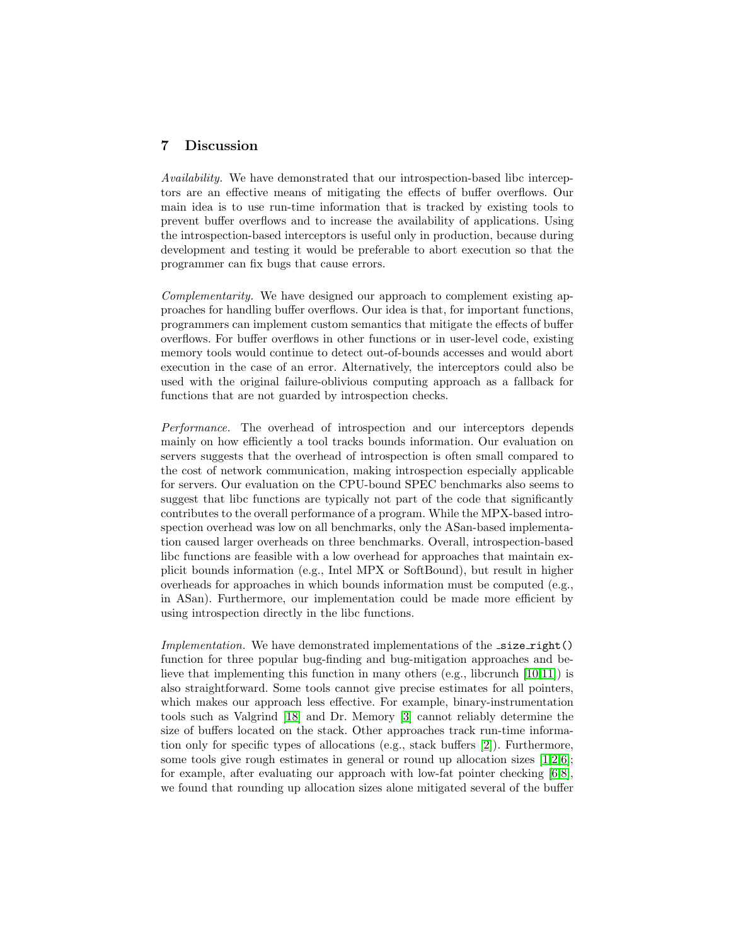# 7 Discussion

Availability. We have demonstrated that our introspection-based libc interceptors are an effective means of mitigating the effects of buffer overflows. Our main idea is to use run-time information that is tracked by existing tools to prevent buffer overflows and to increase the availability of applications. Using the introspection-based interceptors is useful only in production, because during development and testing it would be preferable to abort execution so that the programmer can fix bugs that cause errors.

Complementarity. We have designed our approach to complement existing approaches for handling buffer overflows. Our idea is that, for important functions, programmers can implement custom semantics that mitigate the effects of buffer overflows. For buffer overflows in other functions or in user-level code, existing memory tools would continue to detect out-of-bounds accesses and would abort execution in the case of an error. Alternatively, the interceptors could also be used with the original failure-oblivious computing approach as a fallback for functions that are not guarded by introspection checks.

Performance. The overhead of introspection and our interceptors depends mainly on how efficiently a tool tracks bounds information. Our evaluation on servers suggests that the overhead of introspection is often small compared to the cost of network communication, making introspection especially applicable for servers. Our evaluation on the CPU-bound SPEC benchmarks also seems to suggest that libc functions are typically not part of the code that significantly contributes to the overall performance of a program. While the MPX-based introspection overhead was low on all benchmarks, only the ASan-based implementation caused larger overheads on three benchmarks. Overall, introspection-based libc functions are feasible with a low overhead for approaches that maintain explicit bounds information (e.g., Intel MPX or SoftBound), but result in higher overheads for approaches in which bounds information must be computed (e.g., in ASan). Furthermore, our implementation could be made more efficient by using introspection directly in the libc functions.

 $Implementation. We have demonstrated implementations of the `_size\_right()`$ function for three popular bug-finding and bug-mitigation approaches and believe that implementing this function in many others  $(e.g.,$  libcrunch  $[10,11]$  $[10,11]$ ) is also straightforward. Some tools cannot give precise estimates for all pointers, which makes our approach less effective. For example, binary-instrumentation tools such as Valgrind [\[18\]](#page-13-10) and Dr. Memory [\[3\]](#page-12-2) cannot reliably determine the size of buffers located on the stack. Other approaches track run-time information only for specific types of allocations (e.g., stack buffers [\[2\]](#page-12-3)). Furthermore, some tools give rough estimates in general or round up allocation sizes  $[1,2,6]$  $[1,2,6]$  $[1,2,6]$ ; for example, after evaluating our approach with low-fat pointer checking [\[6,](#page-12-5)[8\]](#page-12-6), we found that rounding up allocation sizes alone mitigated several of the buffer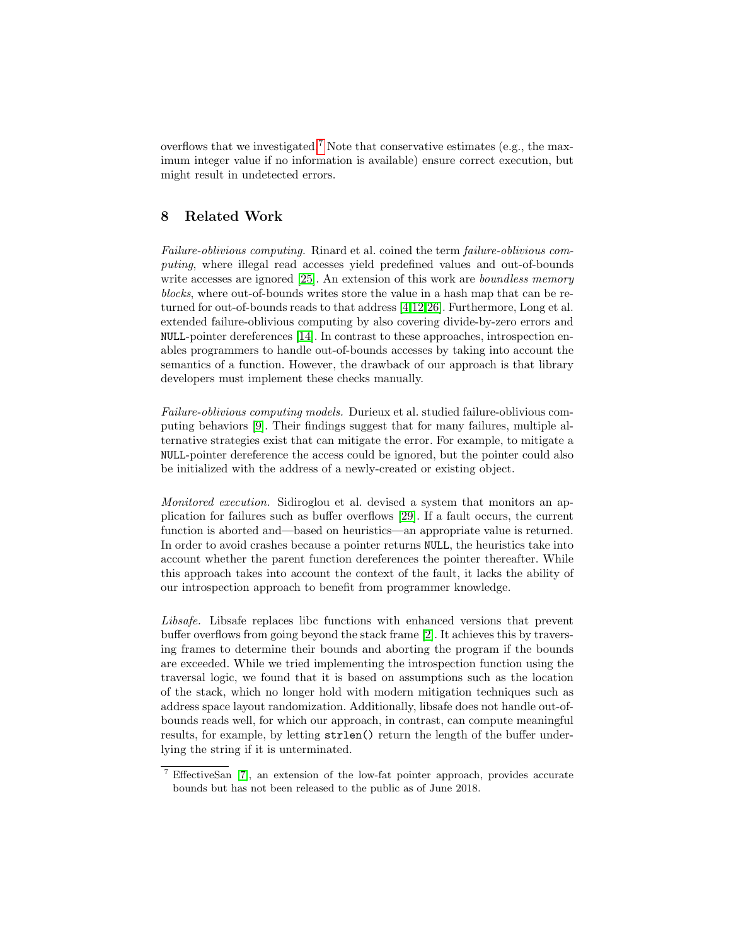overflows that we investigated.[7](#page-11-0) Note that conservative estimates (e.g., the maximum integer value if no information is available) ensure correct execution, but might result in undetected errors.

# 8 Related Work

Failure-oblivious computing. Rinard et al. coined the term failure-oblivious computing, where illegal read accesses yield predefined values and out-of-bounds write accesses are ignored [\[25\]](#page-14-7). An extension of this work are *boundless memory* blocks, where out-of-bounds writes store the value in a hash map that can be returned for out-of-bounds reads to that address [\[4](#page-12-7)[,12,](#page-13-11)[26\]](#page-14-10). Furthermore, Long et al. extended failure-oblivious computing by also covering divide-by-zero errors and NULL-pointer dereferences [\[14\]](#page-13-12). In contrast to these approaches, introspection enables programmers to handle out-of-bounds accesses by taking into account the semantics of a function. However, the drawback of our approach is that library developers must implement these checks manually.

Failure-oblivious computing models. Durieux et al. studied failure-oblivious computing behaviors [\[9\]](#page-12-8). Their findings suggest that for many failures, multiple alternative strategies exist that can mitigate the error. For example, to mitigate a NULL-pointer dereference the access could be ignored, but the pointer could also be initialized with the address of a newly-created or existing object.

Monitored execution. Sidiroglou et al. devised a system that monitors an application for failures such as buffer overflows [\[29\]](#page-14-12). If a fault occurs, the current function is aborted and—based on heuristics—an appropriate value is returned. In order to avoid crashes because a pointer returns NULL, the heuristics take into account whether the parent function dereferences the pointer thereafter. While this approach takes into account the context of the fault, it lacks the ability of our introspection approach to benefit from programmer knowledge.

Libsafe. Libsafe replaces libc functions with enhanced versions that prevent buffer overflows from going beyond the stack frame [\[2\]](#page-12-3). It achieves this by traversing frames to determine their bounds and aborting the program if the bounds are exceeded. While we tried implementing the introspection function using the traversal logic, we found that it is based on assumptions such as the location of the stack, which no longer hold with modern mitigation techniques such as address space layout randomization. Additionally, libsafe does not handle out-ofbounds reads well, for which our approach, in contrast, can compute meaningful results, for example, by letting strlen() return the length of the buffer underlying the string if it is unterminated.

<span id="page-11-0"></span><sup>7</sup> EffectiveSan [\[7\]](#page-12-9), an extension of the low-fat pointer approach, provides accurate bounds but has not been released to the public as of June 2018.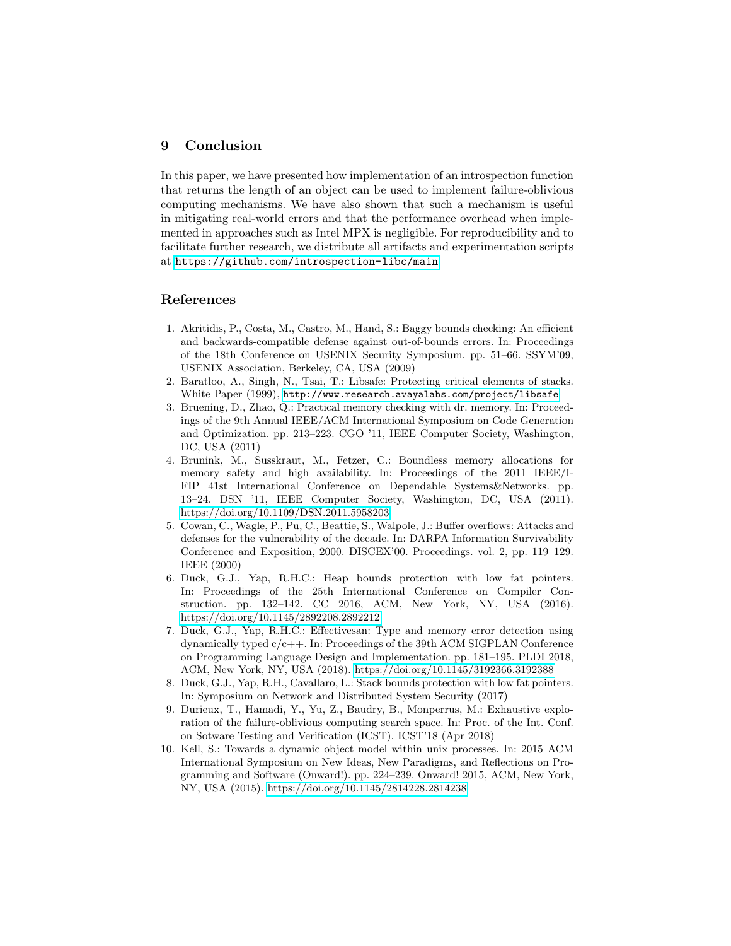#### 9 Conclusion

In this paper, we have presented how implementation of an introspection function that returns the length of an object can be used to implement failure-oblivious computing mechanisms. We have also shown that such a mechanism is useful in mitigating real-world errors and that the performance overhead when implemented in approaches such as Intel MPX is negligible. For reproducibility and to facilitate further research, we distribute all artifacts and experimentation scripts at <https://github.com/introspection-libc/main>.

### References

- <span id="page-12-4"></span>1. Akritidis, P., Costa, M., Castro, M., Hand, S.: Baggy bounds checking: An efficient and backwards-compatible defense against out-of-bounds errors. In: Proceedings of the 18th Conference on USENIX Security Symposium. pp. 51–66. SSYM'09, USENIX Association, Berkeley, CA, USA (2009)
- <span id="page-12-3"></span>2. Baratloo, A., Singh, N., Tsai, T.: Libsafe: Protecting critical elements of stacks. White Paper (1999), <http://www.research.avayalabs.com/project/libsafe>
- <span id="page-12-2"></span>3. Bruening, D., Zhao, Q.: Practical memory checking with dr. memory. In: Proceedings of the 9th Annual IEEE/ACM International Symposium on Code Generation and Optimization. pp. 213–223. CGO '11, IEEE Computer Society, Washington, DC, USA (2011)
- <span id="page-12-7"></span>4. Brunink, M., Susskraut, M., Fetzer, C.: Boundless memory allocations for memory safety and high availability. In: Proceedings of the 2011 IEEE/I-FIP 41st International Conference on Dependable Systems&Networks. pp. 13–24. DSN '11, IEEE Computer Society, Washington, DC, USA (2011). <https://doi.org/10.1109/DSN.2011.5958203>
- <span id="page-12-0"></span>5. Cowan, C., Wagle, P., Pu, C., Beattie, S., Walpole, J.: Buffer overflows: Attacks and defenses for the vulnerability of the decade. In: DARPA Information Survivability Conference and Exposition, 2000. DISCEX'00. Proceedings. vol. 2, pp. 119–129. IEEE (2000)
- <span id="page-12-5"></span>6. Duck, G.J., Yap, R.H.C.: Heap bounds protection with low fat pointers. In: Proceedings of the 25th International Conference on Compiler Construction. pp. 132–142. CC 2016, ACM, New York, NY, USA (2016). <https://doi.org/10.1145/2892208.2892212>
- <span id="page-12-9"></span>7. Duck, G.J., Yap, R.H.C.: Effectivesan: Type and memory error detection using dynamically typed c/c++. In: Proceedings of the 39th ACM SIGPLAN Conference on Programming Language Design and Implementation. pp. 181–195. PLDI 2018, ACM, New York, NY, USA (2018).<https://doi.org/10.1145/3192366.3192388>
- <span id="page-12-6"></span>8. Duck, G.J., Yap, R.H., Cavallaro, L.: Stack bounds protection with low fat pointers. In: Symposium on Network and Distributed System Security (2017)
- <span id="page-12-8"></span>9. Durieux, T., Hamadi, Y., Yu, Z., Baudry, B., Monperrus, M.: Exhaustive exploration of the failure-oblivious computing search space. In: Proc. of the Int. Conf. on Sotware Testing and Verification (ICST). ICST'18 (Apr 2018)
- <span id="page-12-1"></span>10. Kell, S.: Towards a dynamic object model within unix processes. In: 2015 ACM International Symposium on New Ideas, New Paradigms, and Reflections on Programming and Software (Onward!). pp. 224–239. Onward! 2015, ACM, New York, NY, USA (2015).<https://doi.org/10.1145/2814228.2814238>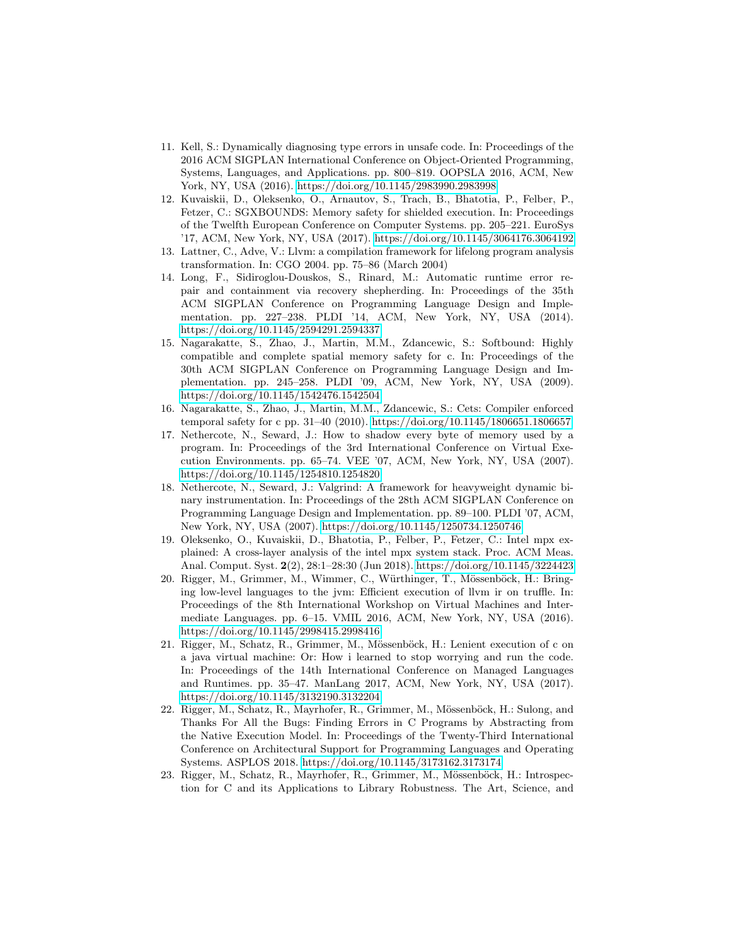- <span id="page-13-9"></span>11. Kell, S.: Dynamically diagnosing type errors in unsafe code. In: Proceedings of the 2016 ACM SIGPLAN International Conference on Object-Oriented Programming, Systems, Languages, and Applications. pp. 800–819. OOPSLA 2016, ACM, New York, NY, USA (2016).<https://doi.org/10.1145/2983990.2983998>
- <span id="page-13-11"></span>12. Kuvaiskii, D., Oleksenko, O., Arnautov, S., Trach, B., Bhatotia, P., Felber, P., Fetzer, C.: SGXBOUNDS: Memory safety for shielded execution. In: Proceedings of the Twelfth European Conference on Computer Systems. pp. 205–221. EuroSys '17, ACM, New York, NY, USA (2017).<https://doi.org/10.1145/3064176.3064192>
- <span id="page-13-8"></span>13. Lattner, C., Adve, V.: Llvm: a compilation framework for lifelong program analysis transformation. In: CGO 2004. pp. 75–86 (March 2004)
- <span id="page-13-12"></span>14. Long, F., Sidiroglou-Douskos, S., Rinard, M.: Automatic runtime error repair and containment via recovery shepherding. In: Proceedings of the 35th ACM SIGPLAN Conference on Programming Language Design and Implementation. pp. 227–238. PLDI '14, ACM, New York, NY, USA (2014). <https://doi.org/10.1145/2594291.2594337>
- <span id="page-13-1"></span>15. Nagarakatte, S., Zhao, J., Martin, M.M., Zdancewic, S.: Softbound: Highly compatible and complete spatial memory safety for c. In: Proceedings of the 30th ACM SIGPLAN Conference on Programming Language Design and Implementation. pp. 245–258. PLDI '09, ACM, New York, NY, USA (2009). <https://doi.org/10.1145/1542476.1542504>
- <span id="page-13-6"></span>16. Nagarakatte, S., Zhao, J., Martin, M.M., Zdancewic, S.: Cets: Compiler enforced temporal safety for c pp. 31–40 (2010).<https://doi.org/10.1145/1806651.1806657>
- <span id="page-13-7"></span>17. Nethercote, N., Seward, J.: How to shadow every byte of memory used by a program. In: Proceedings of the 3rd International Conference on Virtual Execution Environments. pp. 65–74. VEE '07, ACM, New York, NY, USA (2007). <https://doi.org/10.1145/1254810.1254820>
- <span id="page-13-10"></span>18. Nethercote, N., Seward, J.: Valgrind: A framework for heavyweight dynamic binary instrumentation. In: Proceedings of the 28th ACM SIGPLAN Conference on Programming Language Design and Implementation. pp. 89–100. PLDI '07, ACM, New York, NY, USA (2007).<https://doi.org/10.1145/1250734.1250746>
- <span id="page-13-2"></span>19. Oleksenko, O., Kuvaiskii, D., Bhatotia, P., Felber, P., Fetzer, C.: Intel mpx explained: A cross-layer analysis of the intel mpx system stack. Proc. ACM Meas. Anal. Comput. Syst. 2(2), 28:1–28:30 (Jun 2018).<https://doi.org/10.1145/3224423>
- <span id="page-13-5"></span>20. Rigger, M., Grimmer, M., Wimmer, C., Würthinger, T., Mössenböck, H.: Bringing low-level languages to the jvm: Efficient execution of llvm ir on truffle. In: Proceedings of the 8th International Workshop on Virtual Machines and Intermediate Languages. pp. 6–15. VMIL 2016, ACM, New York, NY, USA (2016). <https://doi.org/10.1145/2998415.2998416>
- <span id="page-13-3"></span>21. Rigger, M., Schatz, R., Grimmer, M., Mössenböck, H.: Lenient execution of c on a java virtual machine: Or: How i learned to stop worrying and run the code. In: Proceedings of the 14th International Conference on Managed Languages and Runtimes. pp. 35–47. ManLang 2017, ACM, New York, NY, USA (2017). <https://doi.org/10.1145/3132190.3132204>
- <span id="page-13-4"></span>22. Rigger, M., Schatz, R., Mayrhofer, R., Grimmer, M., Mössenböck, H.: Sulong, and Thanks For All the Bugs: Finding Errors in C Programs by Abstracting from the Native Execution Model. In: Proceedings of the Twenty-Third International Conference on Architectural Support for Programming Languages and Operating Systems. ASPLOS 2018.<https://doi.org/10.1145/3173162.3173174>
- <span id="page-13-0"></span>23. Rigger, M., Schatz, R., Mayrhofer, R., Grimmer, M., Mössenböck, H.: Introspection for C and its Applications to Library Robustness. The Art, Science, and